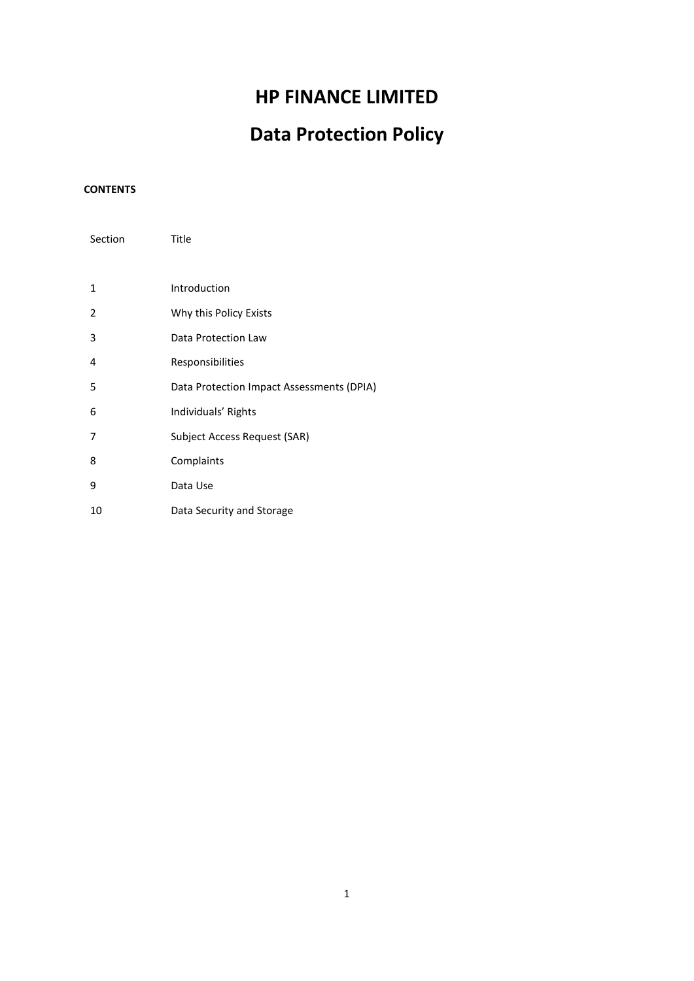## **HP FINANCE LIMITED**

# **Data Protection Policy**

## **CONTENTS**

| Section | Title                                     |
|---------|-------------------------------------------|
|         |                                           |
| 1       | Introduction                              |
| 2       | Why this Policy Exists                    |
| 3       | Data Protection Law                       |
| 4       | Responsibilities                          |
| 5       | Data Protection Impact Assessments (DPIA) |
| 6       | Individuals' Rights                       |
| 7       | Subject Access Request (SAR)              |
| 8       | Complaints                                |
| 9       | Data Use                                  |
| 10      | Data Security and Storage                 |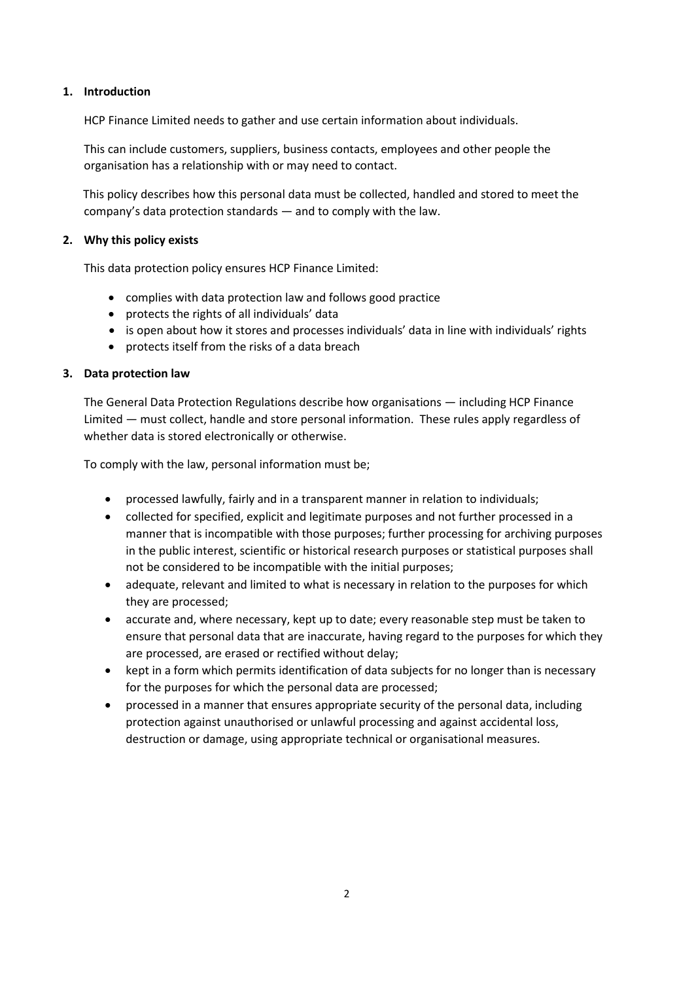#### **1. Introduction**

HCP Finance Limited needs to gather and use certain information about individuals.

This can include customers, suppliers, business contacts, employees and other people the organisation has a relationship with or may need to contact.

This policy describes how this personal data must be collected, handled and stored to meet the company's data protection standards — and to comply with the law.

#### **2. Why this policy exists**

This data protection policy ensures HCP Finance Limited:

- complies with data protection law and follows good practice
- protects the rights of all individuals' data
- is open about how it stores and processes individuals' data in line with individuals' rights
- protects itself from the risks of a data breach

#### **3. Data protection law**

The General Data Protection Regulations describe how organisations — including HCP Finance Limited — must collect, handle and store personal information. These rules apply regardless of whether data is stored electronically or otherwise.

To comply with the law, personal information must be;

- processed lawfully, fairly and in a transparent manner in relation to individuals;
- collected for specified, explicit and legitimate purposes and not further processed in a manner that is incompatible with those purposes; further processing for archiving purposes in the public interest, scientific or historical research purposes or statistical purposes shall not be considered to be incompatible with the initial purposes;
- adequate, relevant and limited to what is necessary in relation to the purposes for which they are processed;
- accurate and, where necessary, kept up to date; every reasonable step must be taken to ensure that personal data that are inaccurate, having regard to the purposes for which they are processed, are erased or rectified without delay;
- kept in a form which permits identification of data subjects for no longer than is necessary for the purposes for which the personal data are processed;
- processed in a manner that ensures appropriate security of the personal data, including protection against unauthorised or unlawful processing and against accidental loss, destruction or damage, using appropriate technical or organisational measures.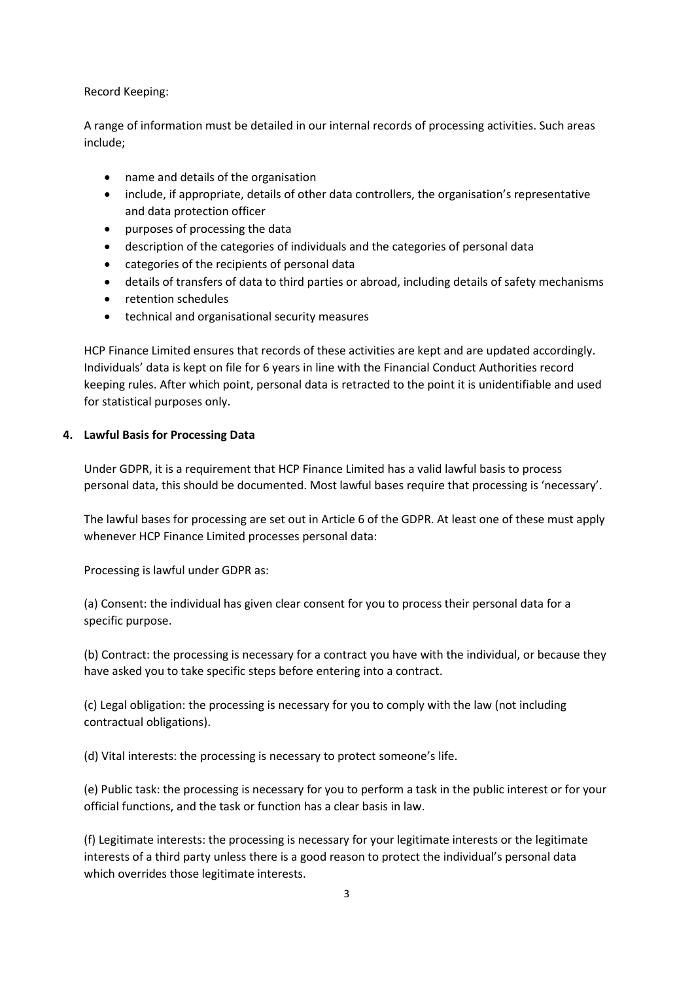Record Keeping:

A range of information must be detailed in our internal records of processing activities. Such areas include;

- name and details of the organisation
- include, if appropriate, details of other data controllers, the organisation's representative and data protection officer
- purposes of processing the data
- description of the categories of individuals and the categories of personal data
- categories of the recipients of personal data
- details of transfers of data to third parties or abroad, including details of safety mechanisms
- retention schedules
- technical and organisational security measures

HCP Finance Limited ensures that records of these activities are kept and are updated accordingly. Individuals' data is kept on file for 6 years in line with the Financial Conduct Authorities record keeping rules. After which point, personal data is retracted to the point it is unidentifiable and used for statistical purposes only.

#### **4. Lawful Basis for Processing Data**

Under GDPR, it is a requirement that HCP Finance Limited has a valid lawful basis to process personal data, this should be documented. Most lawful bases require that processing is 'necessary'.

The lawful bases for processing are set out in Article 6 of the GDPR. At least one of these must apply whenever HCP Finance Limited processes personal data:

Processing is lawful under GDPR as:

(a) Consent: the individual has given clear consent for you to process their personal data for a specific purpose.

(b) Contract: the processing is necessary for a contract you have with the individual, or because they have asked you to take specific steps before entering into a contract.

(c) Legal obligation: the processing is necessary for you to comply with the law (not including contractual obligations).

(d) Vital interests: the processing is necessary to protect someone's life.

(e) Public task: the processing is necessary for you to perform a task in the public interest or for your official functions, and the task or function has a clear basis in law.

(f) Legitimate interests: the processing is necessary for your legitimate interests or the legitimate interests of a third party unless there is a good reason to protect the individual's personal data which overrides those legitimate interests.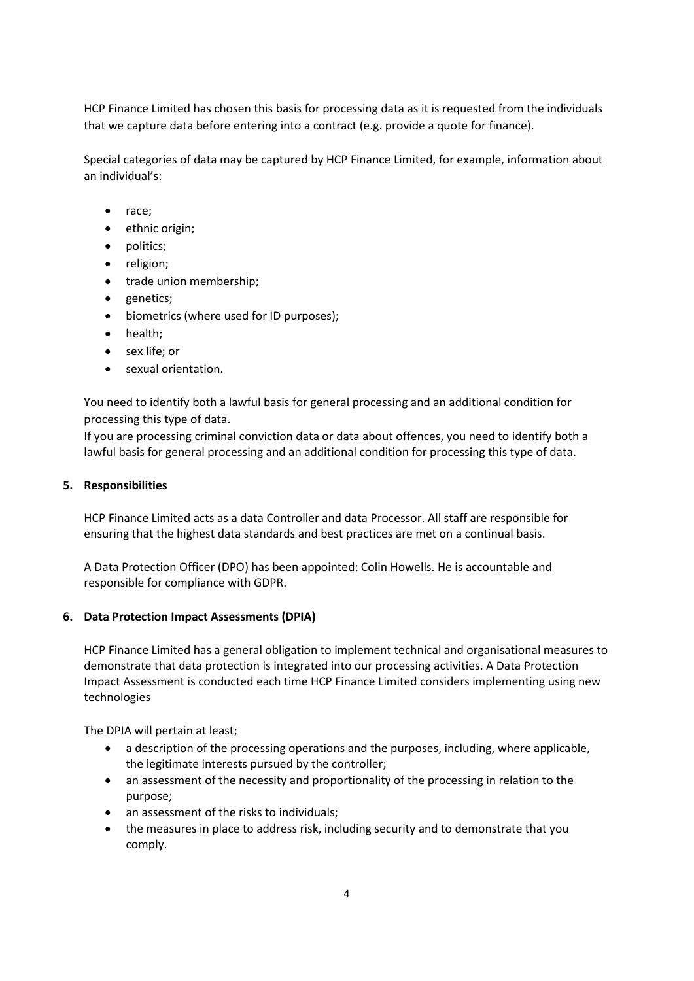HCP Finance Limited has chosen this basis for processing data as it is requested from the individuals that we capture data before entering into a contract (e.g. provide a quote for finance).

Special categories of data may be captured by HCP Finance Limited, for example, information about an individual's:

- race;
- ethnic origin;
- politics;
- religion;
- trade union membership;
- genetics;
- biometrics (where used for ID purposes);
- health;
- sex life; or
- sexual orientation.

You need to identify both a lawful basis for general processing and an additional condition for processing this type of data.

If you are processing criminal conviction data or data about offences, you need to identify both a lawful basis for general processing and an additional condition for processing this type of data.

#### **5. Responsibilities**

HCP Finance Limited acts as a data Controller and data Processor. All staff are responsible for ensuring that the highest data standards and best practices are met on a continual basis.

A Data Protection Officer (DPO) has been appointed: Colin Howells. He is accountable and responsible for compliance with GDPR.

#### **6. Data Protection Impact Assessments (DPIA)**

HCP Finance Limited has a general obligation to implement technical and organisational measures to demonstrate that data protection is integrated into our processing activities. A Data Protection Impact Assessment is conducted each time HCP Finance Limited considers implementing using new technologies

The DPIA will pertain at least;

- a description of the processing operations and the purposes, including, where applicable, the legitimate interests pursued by the controller;
- an assessment of the necessity and proportionality of the processing in relation to the purpose;
- an assessment of the risks to individuals;
- the measures in place to address risk, including security and to demonstrate that you comply.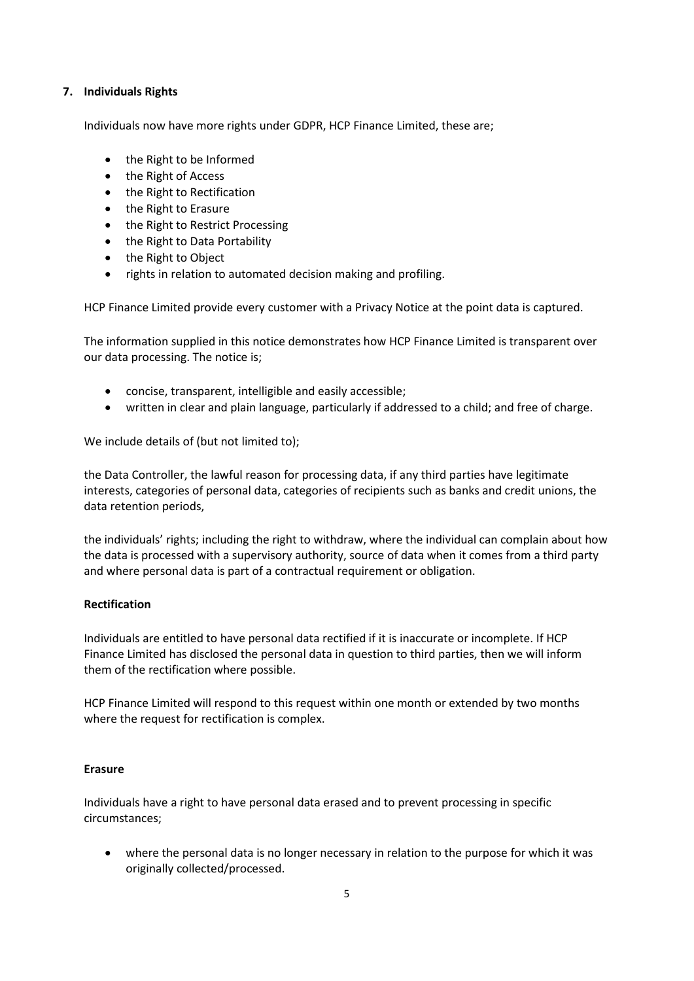#### **7. Individuals Rights**

Individuals now have more rights under GDPR, HCP Finance Limited, these are;

- the Right to be Informed
- the Right of Access
- the Right to Rectification
- the Right to Erasure
- the Right to Restrict Processing
- the Right to Data Portability
- the Right to Object
- rights in relation to automated decision making and profiling.

HCP Finance Limited provide every customer with a Privacy Notice at the point data is captured.

The information supplied in this notice demonstrates how HCP Finance Limited is transparent over our data processing. The notice is;

- concise, transparent, intelligible and easily accessible;
- written in clear and plain language, particularly if addressed to a child; and free of charge.

We include details of (but not limited to);

the Data Controller, the lawful reason for processing data, if any third parties have legitimate interests, categories of personal data, categories of recipients such as banks and credit unions, the data retention periods,

the individuals' rights; including the right to withdraw, where the individual can complain about how the data is processed with a supervisory authority, source of data when it comes from a third party and where personal data is part of a contractual requirement or obligation.

#### **Rectification**

Individuals are entitled to have personal data rectified if it is inaccurate or incomplete. If HCP Finance Limited has disclosed the personal data in question to third parties, then we will inform them of the rectification where possible.

HCP Finance Limited will respond to this request within one month or extended by two months where the request for rectification is complex.

#### **Erasure**

Individuals have a right to have personal data erased and to prevent processing in specific circumstances;

• where the personal data is no longer necessary in relation to the purpose for which it was originally collected/processed.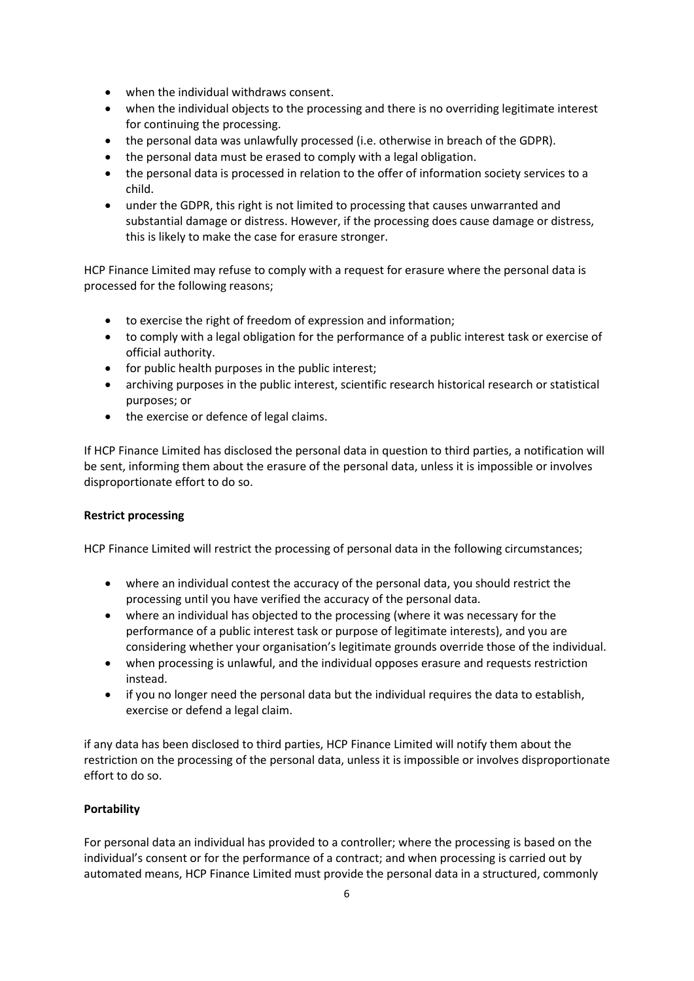- when the individual withdraws consent.
- when the individual objects to the processing and there is no overriding legitimate interest for continuing the processing.
- the personal data was unlawfully processed (i.e. otherwise in breach of the GDPR).
- the personal data must be erased to comply with a legal obligation.
- the personal data is processed in relation to the offer of information society services to a child.
- under the GDPR, this right is not limited to processing that causes unwarranted and substantial damage or distress. However, if the processing does cause damage or distress, this is likely to make the case for erasure stronger.

HCP Finance Limited may refuse to comply with a request for erasure where the personal data is processed for the following reasons;

- to exercise the right of freedom of expression and information;
- to comply with a legal obligation for the performance of a public interest task or exercise of official authority.
- for public health purposes in the public interest;
- archiving purposes in the public interest, scientific research historical research or statistical purposes; or
- the exercise or defence of legal claims.

If HCP Finance Limited has disclosed the personal data in question to third parties, a notification will be sent, informing them about the erasure of the personal data, unless it is impossible or involves disproportionate effort to do so.

#### **Restrict processing**

HCP Finance Limited will restrict the processing of personal data in the following circumstances;

- where an individual contest the accuracy of the personal data, you should restrict the processing until you have verified the accuracy of the personal data.
- where an individual has objected to the processing (where it was necessary for the performance of a public interest task or purpose of legitimate interests), and you are considering whether your organisation's legitimate grounds override those of the individual.
- when processing is unlawful, and the individual opposes erasure and requests restriction instead.
- if you no longer need the personal data but the individual requires the data to establish, exercise or defend a legal claim.

if any data has been disclosed to third parties, HCP Finance Limited will notify them about the restriction on the processing of the personal data, unless it is impossible or involves disproportionate effort to do so.

#### **Portability**

For personal data an individual has provided to a controller; where the processing is based on the individual's consent or for the performance of a contract; and when processing is carried out by automated means, HCP Finance Limited must provide the personal data in a structured, commonly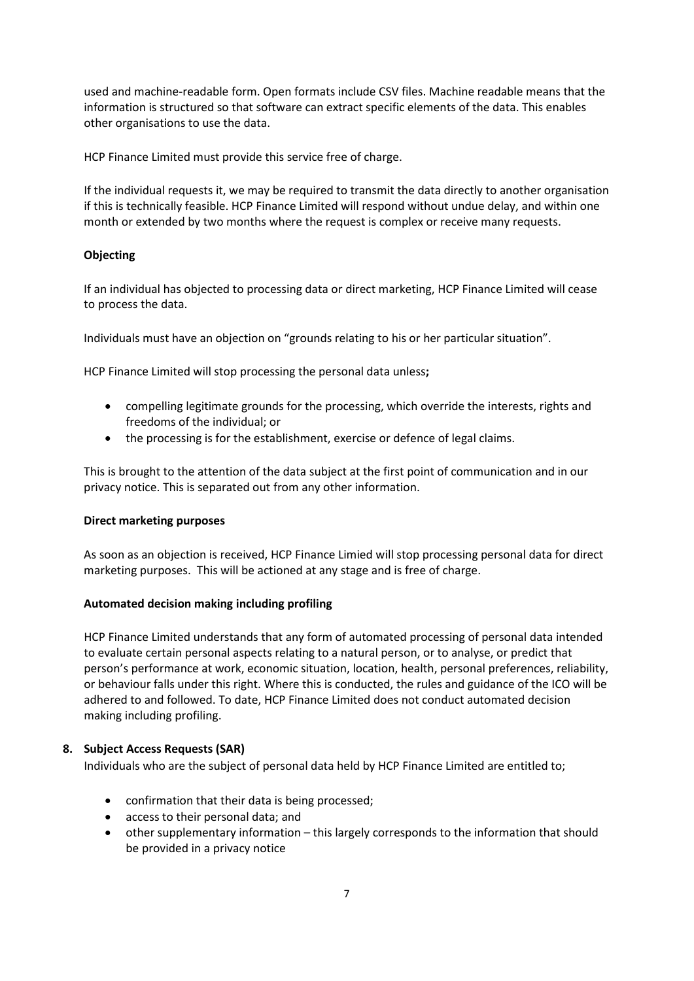used and machine-readable form. Open formats include CSV files. Machine readable means that the information is structured so that software can extract specific elements of the data. This enables other organisations to use the data.

HCP Finance Limited must provide this service free of charge.

If the individual requests it, we may be required to transmit the data directly to another organisation if this is technically feasible. HCP Finance Limited will respond without undue delay, and within one month or extended by two months where the request is complex or receive many requests.

#### **Objecting**

If an individual has objected to processing data or direct marketing, HCP Finance Limited will cease to process the data.

Individuals must have an objection on "grounds relating to his or her particular situation".

HCP Finance Limited will stop processing the personal data unless**;**

- compelling legitimate grounds for the processing, which override the interests, rights and freedoms of the individual; or
- the processing is for the establishment, exercise or defence of legal claims.

This is brought to the attention of the data subject at the first point of communication and in our privacy notice. This is separated out from any other information.

#### **Direct marketing purposes**

As soon as an objection is received, HCP Finance Limied will stop processing personal data for direct marketing purposes. This will be actioned at any stage and is free of charge.

#### **Automated decision making including profiling**

HCP Finance Limited understands that any form of automated processing of personal data intended to evaluate certain personal aspects relating to a natural person, or to analyse, or predict that person's performance at work, economic situation, location, health, personal preferences, reliability, or behaviour falls under this right. Where this is conducted, the rules and guidance of the ICO will be adhered to and followed. To date, HCP Finance Limited does not conduct automated decision making including profiling.

### **8. Subject Access Requests (SAR)**

Individuals who are the subject of personal data held by HCP Finance Limited are entitled to;

- confirmation that their data is being processed;
- access to their personal data; and
- other supplementary information this largely corresponds to the information that should be provided in a privacy notice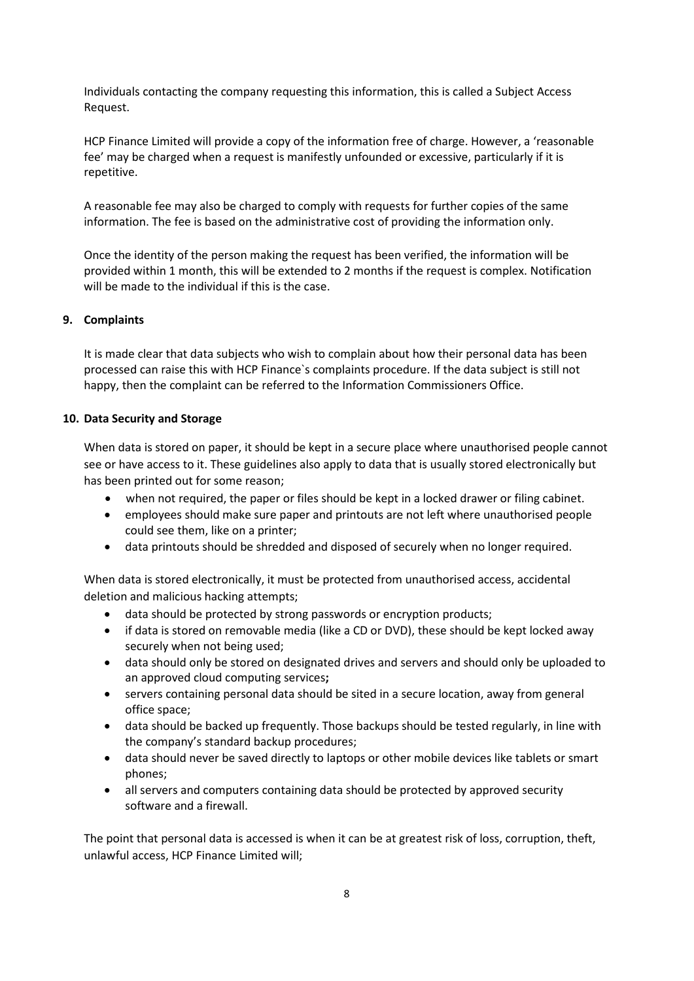Individuals contacting the company requesting this information, this is called a Subject Access Request.

HCP Finance Limited will provide a copy of the information free of charge. However, a 'reasonable fee' may be charged when a request is manifestly unfounded or excessive, particularly if it is repetitive.

A reasonable fee may also be charged to comply with requests for further copies of the same information. The fee is based on the administrative cost of providing the information only.

Once the identity of the person making the request has been verified, the information will be provided within 1 month, this will be extended to 2 months if the request is complex. Notification will be made to the individual if this is the case.

#### **9. Complaints**

It is made clear that data subjects who wish to complain about how their personal data has been processed can raise this with HCP Finance`s complaints procedure. If the data subject is still not happy, then the complaint can be referred to the Information Commissioners Office.

#### **10. Data Security and Storage**

When data is stored on paper, it should be kept in a secure place where unauthorised people cannot see or have access to it. These guidelines also apply to data that is usually stored electronically but has been printed out for some reason;

- when not required, the paper or files should be kept in a locked drawer or filing cabinet.
- employees should make sure paper and printouts are not left where unauthorised people could see them, like on a printer;
- data printouts should be shredded and disposed of securely when no longer required.

When data is stored electronically, it must be protected from unauthorised access, accidental deletion and malicious hacking attempts;

- data should be protected by strong passwords or encryption products;
- if data is stored on removable media (like a CD or DVD), these should be kept locked away securely when not being used;
- data should only be stored on designated drives and servers and should only be uploaded to an approved cloud computing services**;**
- servers containing personal data should be sited in a secure location, away from general office space;
- data should be backed up frequently. Those backups should be tested regularly, in line with the company's standard backup procedures;
- data should never be saved directly to laptops or other mobile devices like tablets or smart phones;
- all servers and computers containing data should be protected by approved security software and a firewall.

The point that personal data is accessed is when it can be at greatest risk of loss, corruption, theft, unlawful access, HCP Finance Limited will;